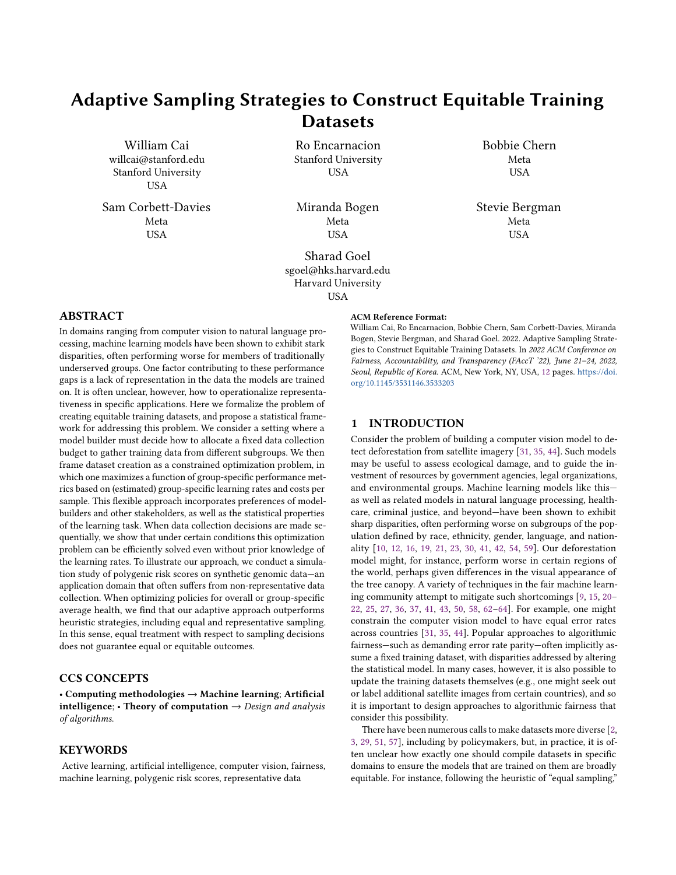# Adaptive Sampling Strategies to Construct Equitable Training **Datasets**

William Cai willcai@stanford.edu Stanford University **USA** 

Sam Corbett-Davies Meta **USA** 

Ro Encarnacion Stanford University USA

Miranda Bogen Meta **USA** 

Sharad Goel sgoel@hks.harvard.edu Harvard University USA

# ABSTRACT

In domains ranging from computer vision to natural language processing, machine learning models have been shown to exhibit stark disparities, often performing worse for members of traditionally underserved groups. One factor contributing to these performance gaps is a lack of representation in the data the models are trained on. It is often unclear, however, how to operationalize representativeness in specific applications. Here we formalize the problem of creating equitable training datasets, and propose a statistical framework for addressing this problem. We consider a setting where a model builder must decide how to allocate a fixed data collection budget to gather training data from different subgroups. We then frame dataset creation as a constrained optimization problem, in which one maximizes a function of group-specific performance metrics based on (estimated) group-specific learning rates and costs per sample. This flexible approach incorporates preferences of modelbuilders and other stakeholders, as well as the statistical properties of the learning task. When data collection decisions are made sequentially, we show that under certain conditions this optimization problem can be efficiently solved even without prior knowledge of the learning rates. To illustrate our approach, we conduct a simulation study of polygenic risk scores on synthetic genomic data—an application domain that often suffers from non-representative data collection. When optimizing policies for overall or group-specific average health, we find that our adaptive approach outperforms heuristic strategies, including equal and representative sampling. In this sense, equal treatment with respect to sampling decisions does not guarantee equal or equitable outcomes.

# CCS CONCEPTS

• Computing methodologies  $\rightarrow$  Machine learning; Artificial intelligence; • Theory of computation  $\rightarrow$  Design and analysis of algorithms.

# **KEYWORDS**

Active learning, artificial intelligence, computer vision, fairness, machine learning, polygenic risk scores, representative data

#### ACM Reference Format:

William Cai, Ro Encarnacion, Bobbie Chern, Sam Corbett-Davies, Miranda Bogen, Stevie Bergman, and Sharad Goel. 2022. Adaptive Sampling Strategies to Construct Equitable Training Datasets. In 2022 ACM Conference on Fairness, Accountability, and Transparency (FAccT '22), June 21–24, 2022, Seoul, Republic of Korea. ACM, New York, NY, USA, [12](#page-11-0) pages. [https://doi.](https://doi.org/10.1145/3531146.3533203) [org/10.1145/3531146.3533203](https://doi.org/10.1145/3531146.3533203)

### 1 INTRODUCTION

Consider the problem of building a computer vision model to detect deforestation from satellite imagery [\[31,](#page-9-0) [35,](#page-9-1) [44\]](#page-10-0). Such models may be useful to assess ecological damage, and to guide the investment of resources by government agencies, legal organizations, and environmental groups. Machine learning models like this as well as related models in natural language processing, healthcare, criminal justice, and beyond—have been shown to exhibit sharp disparities, often performing worse on subgroups of the population defined by race, ethnicity, gender, language, and nationality [\[10,](#page-9-2) [12,](#page-9-3) [16,](#page-9-4) [19,](#page-9-5) [21,](#page-9-6) [23,](#page-9-7) [30,](#page-9-8) [41,](#page-9-9) [42,](#page-9-10) [54,](#page-10-1) [59\]](#page-10-2). Our deforestation model might, for instance, perform worse in certain regions of the world, perhaps given differences in the visual appearance of the tree canopy. A variety of techniques in the fair machine learning community attempt to mitigate such shortcomings [\[9,](#page-9-11) [15,](#page-9-12) [20–](#page-9-13) [22,](#page-9-14) [25,](#page-9-15) [27,](#page-9-16) [36,](#page-9-17) [37,](#page-9-18) [41,](#page-9-9) [43,](#page-10-3) [50,](#page-10-4) [58,](#page-10-5) [62](#page-10-6)[–64\]](#page-10-7). For example, one might constrain the computer vision model to have equal error rates across countries [\[31,](#page-9-0) [35,](#page-9-1) [44\]](#page-10-0). Popular approaches to algorithmic fairness—such as demanding error rate parity—often implicitly assume a fixed training dataset, with disparities addressed by altering the statistical model. In many cases, however, it is also possible to update the training datasets themselves (e.g., one might seek out or label additional satellite images from certain countries), and so it is important to design approaches to algorithmic fairness that consider this possibility.

There have been numerous calls to make datasets more diverse [\[2,](#page-9-19) [3,](#page-9-20) [29,](#page-9-21) [51,](#page-10-8) [57\]](#page-10-9), including by policymakers, but, in practice, it is often unclear how exactly one should compile datasets in specific domains to ensure the models that are trained on them are broadly equitable. For instance, following the heuristic of "equal sampling,"

Bobbie Chern Meta USA

Stevie Bergman Meta **USA**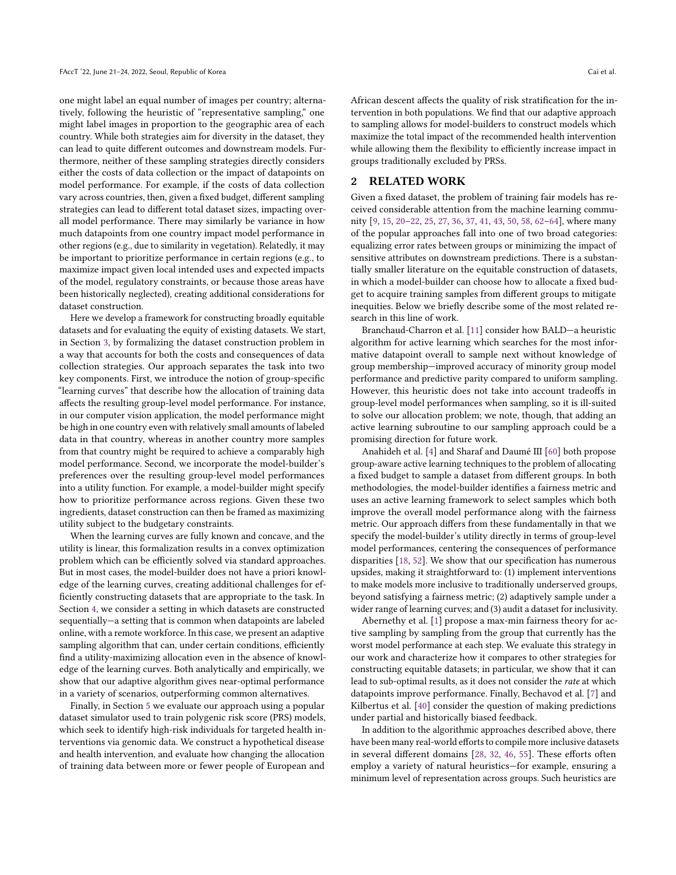one might label an equal number of images per country; alternatively, following the heuristic of "representative sampling," one might label images in proportion to the geographic area of each country. While both strategies aim for diversity in the dataset, they can lead to quite different outcomes and downstream models. Furthermore, neither of these sampling strategies directly considers either the costs of data collection or the impact of datapoints on model performance. For example, if the costs of data collection vary across countries, then, given a fixed budget, different sampling strategies can lead to different total dataset sizes, impacting overall model performance. There may similarly be variance in how much datapoints from one country impact model performance in other regions (e.g., due to similarity in vegetation). Relatedly, it may be important to prioritize performance in certain regions (e.g., to maximize impact given local intended uses and expected impacts of the model, regulatory constraints, or because those areas have been historically neglected), creating additional considerations for dataset construction.

Here we develop a framework for constructing broadly equitable datasets and for evaluating the equity of existing datasets. We start, in Section [3,](#page-2-0) by formalizing the dataset construction problem in a way that accounts for both the costs and consequences of data collection strategies. Our approach separates the task into two key components. First, we introduce the notion of group-specific "learning curves" that describe how the allocation of training data affects the resulting group-level model performance. For instance, in our computer vision application, the model performance might be high in one country even with relatively small amounts of labeled data in that country, whereas in another country more samples from that country might be required to achieve a comparably high model performance. Second, we incorporate the model-builder's preferences over the resulting group-level model performances into a utility function. For example, a model-builder might specify how to prioritize performance across regions. Given these two ingredients, dataset construction can then be framed as maximizing utility subject to the budgetary constraints.

When the learning curves are fully known and concave, and the utility is linear, this formalization results in a convex optimization problem which can be efficiently solved via standard approaches. But in most cases, the model-builder does not have a priori knowledge of the learning curves, creating additional challenges for efficiently constructing datasets that are appropriate to the task. In Section [4,](#page-4-0) we consider a setting in which datasets are constructed sequentially—a setting that is common when datapoints are labeled online, with a remote workforce. In this case, we present an adaptive sampling algorithm that can, under certain conditions, efficiently find a utility-maximizing allocation even in the absence of knowledge of the learning curves. Both analytically and empirically, we show that our adaptive algorithm gives near-optimal performance in a variety of scenarios, outperforming common alternatives.

Finally, in Section [5](#page-5-0) we evaluate our approach using a popular dataset simulator used to train polygenic risk score (PRS) models, which seek to identify high-risk individuals for targeted health interventions via genomic data. We construct a hypothetical disease and health intervention, and evaluate how changing the allocation of training data between more or fewer people of European and

African descent affects the quality of risk stratification for the intervention in both populations. We find that our adaptive approach to sampling allows for model-builders to construct models which maximize the total impact of the recommended health intervention while allowing them the flexibility to efficiently increase impact in groups traditionally excluded by PRSs.

# 2 RELATED WORK

Given a fixed dataset, the problem of training fair models has received considerable attention from the machine learning community [\[9,](#page-9-11) [15,](#page-9-12) [20–](#page-9-13)[22,](#page-9-14) [25,](#page-9-15) [27,](#page-9-16) [36,](#page-9-17) [37,](#page-9-18) [41,](#page-9-9) [43,](#page-10-3) [50,](#page-10-4) [58,](#page-10-5) [62–](#page-10-6)[64\]](#page-10-7), where many of the popular approaches fall into one of two broad categories: equalizing error rates between groups or minimizing the impact of sensitive attributes on downstream predictions. There is a substantially smaller literature on the equitable construction of datasets, in which a model-builder can choose how to allocate a fixed budget to acquire training samples from different groups to mitigate inequities. Below we briefly describe some of the most related research in this line of work.

Branchaud-Charron et al. [\[11\]](#page-9-22) consider how BALD—a heuristic algorithm for active learning which searches for the most informative datapoint overall to sample next without knowledge of group membership—improved accuracy of minority group model performance and predictive parity compared to uniform sampling. However, this heuristic does not take into account tradeoffs in group-level model performances when sampling, so it is ill-suited to solve our allocation problem; we note, though, that adding an active learning subroutine to our sampling approach could be a promising direction for future work.

Anahideh et al. [\[4\]](#page-9-23) and Sharaf and Daumé III [\[60\]](#page-10-10) both propose group-aware active learning techniques to the problem of allocating a fixed budget to sample a dataset from different groups. In both methodologies, the model-builder identifies a fairness metric and uses an active learning framework to select samples which both improve the overall model performance along with the fairness metric. Our approach differs from these fundamentally in that we specify the model-builder's utility directly in terms of group-level model performances, centering the consequences of performance disparities [\[18,](#page-9-24) [52\]](#page-10-11). We show that our specification has numerous upsides, making it straightforward to: (1) implement interventions to make models more inclusive to traditionally underserved groups, beyond satisfying a fairness metric; (2) adaptively sample under a wider range of learning curves; and (3) audit a dataset for inclusivity.

Abernethy et al. [\[1\]](#page-9-25) propose a max-min fairness theory for active sampling by sampling from the group that currently has the worst model performance at each step. We evaluate this strategy in our work and characterize how it compares to other strategies for constructing equitable datasets; in particular, we show that it can lead to sub-optimal results, as it does not consider the rate at which datapoints improve performance. Finally, Bechavod et al. [\[7\]](#page-9-26) and Kilbertus et al. [\[40\]](#page-9-27) consider the question of making predictions under partial and historically biased feedback.

In addition to the algorithmic approaches described above, there have been many real-world efforts to compile more inclusive datasets in several different domains [\[28,](#page-9-28) [32,](#page-9-29) [46,](#page-10-12) [55\]](#page-10-13). These efforts often employ a variety of natural heuristics—for example, ensuring a minimum level of representation across groups. Such heuristics are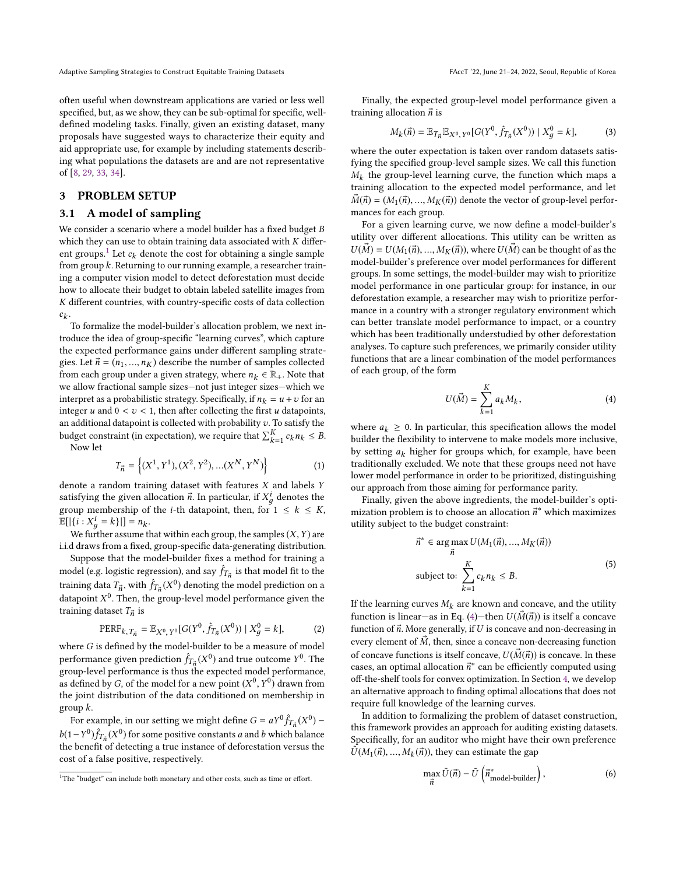Adaptive Sampling Strategies to Construct Equitable Training Datasets FACCT '22, June 21-24, 2022, Seoul, Republic of Korea

often useful when downstream applications are varied or less well specified, but, as we show, they can be sub-optimal for specific, welldefined modeling tasks. Finally, given an existing dataset, many proposals have suggested ways to characterize their equity and aid appropriate use, for example by including statements describing what populations the datasets are and are not representative of [\[8,](#page-9-30) [29,](#page-9-21) [33,](#page-9-31) [34\]](#page-9-32).

# <span id="page-2-0"></span>3 PROBLEM SETUP

### 3.1 A model of sampling

We consider a scenario where a model builder has a fixed budget B which they can use to obtain training data associated with  $K$  differ-ent groups.<sup>[1](#page-2-1)</sup> Let  $c_k$  denote the cost for obtaining a single sample from group k. Returning to our running example, a researcher training a computer vision model to detect deforestation must decide how to allocate their budget to obtain labeled satellite images from K different countries, with country-specific costs of data collection  $c_k$ .

 $\ddot{\phantom{0}}$ To formalize the model-builder's allocation problem, we next introduce the idea of group-specific "learning curves", which capture the expected performance gains under different sampling strategies. Let  $\vec{n} = (n_1, ..., n_K)$  describe the number of samples collected from each group under a given strategy, where  $n_k \in \mathbb{R}_+$ . Note that we allow fractional sample sizes—not just integer sizes—which we interpret as a probabilistic strategy. Specifically, if  $n_k = u + v$  for an integer u and  $0 < v < 1$ , then after collecting the first u datapoints, an additional datapoint is collected with probability  $v$ . To satisfy the budget constraint (in expectation), we require that  $\sum_{k=1}^{K} c_k n_k \leq B$ .<br>Now let

Now let

$$
T_{\vec{n}} = \left\{ (X^1, Y^1), (X^2, Y^2), \dots (X^N, Y^N) \right\}
$$
 (1)

denote a random training dataset with features  $X$  and labels  $Y$ satisfying the given allocation  $\vec{n}$ . In particular, if  $X_g^i$  denotes the group membership of the *i*-th datapoint, then for  $1 \leq k \leq K$ group membership of the *i*-th datapoint, then, for  $1 \leq k \leq K$ ,  $\mathbb{E}[|\{i : X_g^i = k\}|] = n_k.$ <br>We further assume the

We further assume that within each group, the samples  $(X, Y)$  are i.i.d draws from a fixed, group-specific data-generating distribution.

Suppose that the model-builder fixes a method for training a model (e.g. logistic regression), and say  $\hat{f}_{T}$  is that model fit to the following the regression, and say  $f_{I_{\vec{n}}}$  is that model in to the training data  $T_{\vec{n}}$ , with  $\hat{f}_{T_{\vec{n}}}(X^0)$  denoting the model prediction on a detensive the space of the space of the space of the space of the spa training data  $T_n$ , whir  $J T_n(x)$  denoting the model performance given the datapoint  $X^0$ . Then, the group-level model performance given the training dataset  $T_n$  is training dataset  $T_{\vec{n}}$  is

$$
\text{PERF}_{k, T_{\vec{n}}} = \mathbb{E}_{X^0, Y^0} [G(Y^0, \hat{f}_{T_{\vec{n}}}(X^0)) | X_g^0 = k], \tag{2}
$$

where G is defined by the model-builder to be a measure of model performance given prediction  $\hat{f}_{T_n}(X^0)$  and true outcome  $Y^0$ . The groun-level performance is thus the expected model performance performance given prediction  $f_{I_{\vec{n}}}$  (x ) and the odtes  $r$ . The group-level performance is thus the expected model performance. as defined by G, of the model for a new point  $(X^0, Y^0)$  drawn from<br>the joint distribution of the data conditioned on membership in  $\frac{y}{x}$  the joint distribution of the data conditioned on membership in group k.

For example, in our setting we might define  $G = aY^0 \hat{f}_{T_H}(X^0) - Y^0 \hat{f}_{T_H}(X^0)$ b(1−Y<sup>0</sup>) $\hat{f}_{T_{\vec{n}}}(X^0)$  for some positive constants *a* and *b* which balance<br>the banefit of detecting a true instance of deforestation versus the  $\mathcal{F}(T, T)$   $f_{\vec{n}}(T)$  for some positive constants a and v which salarice cost of a false positive, respectively.

Finally, the expected group-level model performance given a training allocation  $\vec{n}$  is

$$
M_k(\vec{n}) = \mathbb{E}_{T_{\vec{n}}} \mathbb{E}_{X^0, Y^0} [G(Y^0, \hat{f}_{T_{\vec{n}}} (X^0)) | X_g^0 = k],
$$
 (3)

where the outer expectation is taken over random datasets satisfying the specified group-level sample sizes. We call this function  $\kappa$   $\frac{1}{\kappa}$  and  $\frac{1}{\kappa}$  training allocation to the expected model performance, and let  $M_k$  the group-level learning curve, the function which maps a  $\vec{M}(\vec{n}) = (M_1(\vec{n}), ..., M_K(\vec{n}))$  denote the vector of group-level performances for each group.

For a given learning curve, we now define a model-builder's utility over different allocations. This utility can be written as  $U(\vec{M}) = U(M_1(\vec{n}), ..., M_K(\vec{n}))$ , where  $U(\vec{M})$  can be thought of as the model-builder's preference over model performances for different groups. In some settings, the model-builder may wish to prioritize model performance in one particular group: for instance, in our deforestation example, a researcher may wish to prioritize performance in a country with a stronger regulatory environment which can better translate model performance to impact, or a country which has been traditionally understudied by other deforestation analyses. To capture such preferences, we primarily consider utility functions that are a linear combination of the model performances of each group, of the form

<span id="page-2-2"></span>
$$
U(\vec{M}) = \sum_{k=1}^{K} a_k M_k,
$$
\n(4)

where  $a_k \geq 0$ . In particular, this specification allows the model builder the flexibility to intervene to make models more inclusive, by setting  $a_k$  higher for groups which, for example, have been traditionally excluded. We note that these groups need not have lower model performance in order to be prioritized, distinguishing our approach from those aiming for performance parity.

Finally, given the above ingredients, the model-builder's optimization problem is to choose an allocation  $\vec{n}^*$  which maximizes whility subject to the budget constraint: utility subject to the budget constraint:

$$
\vec{n}^* \in \arg\max_{\vec{n}} U(M_1(\vec{n}), ..., M_K(\vec{n}))
$$
  
subject to: 
$$
\sum_{k=1}^K c_k n_k \le B.
$$
 (5)

If the learning curves  $M_k$  are known and concave, and the utility function is linear—as in Eq. [\(4\)](#page-2-2)—then  $U(\vec{M}(\vec{n}))$  is itself a concave function of  $\vec{n}$ . More generally, if U is concave and non-decreasing in every element of  $M$ , then, since a concave non-decreasing function of concave functions is itself concave,  $U(\vec{M}(\vec{n}))$  is concave. In these cases, an optimal allocation  $\vec{n}^*$  can be efficiently computed using off-the-shelf tools for convex optimization. In Section 4, we develop off-the-shelf tools for convex optimization. In Section [4,](#page-4-0) we develop an alternative approach to finding optimal allocations that does not require full knowledge of the learning curves.

In addition to formalizing the problem of dataset construction, this framework provides an approach for auditing existing datasets. Specifically, for an auditor who might have their own preference  $\tilde{U}(M_1(\vec{n}), ..., M_k(\vec{n}))$ , they can estimate the gap

$$
\max_{\vec{n}} \tilde{U}(\vec{n}) - \tilde{U}\left(\vec{n}_{\text{model-builder}}^*\right),\tag{6}
$$

<span id="page-2-1"></span><sup>&</sup>lt;sup>1</sup>The "budget" can include both monetary and other costs, such as time or effort.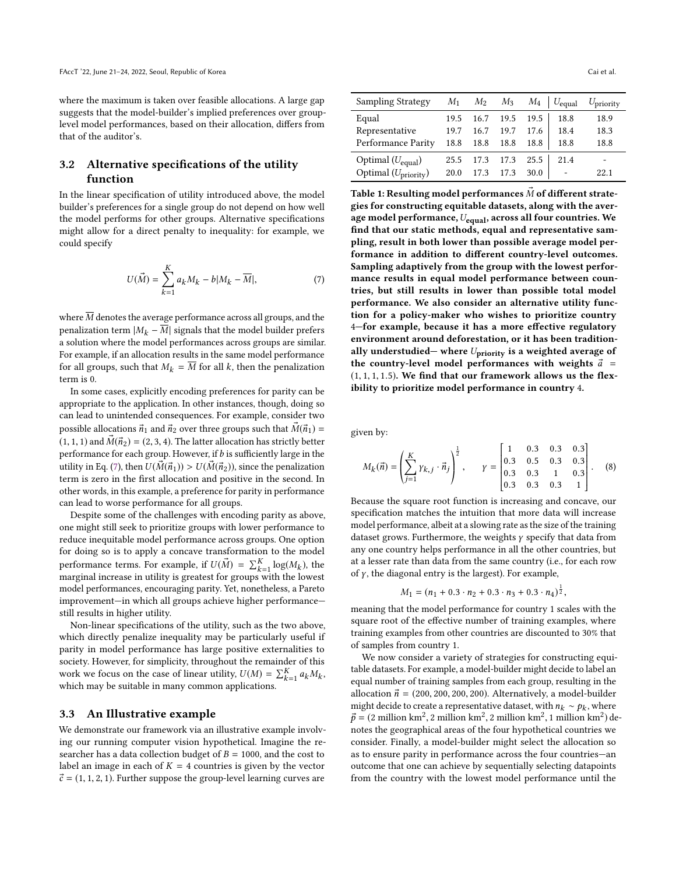where the maximum is taken over feasible allocations. A large gap suggests that the model-builder's implied preferences over grouplevel model performances, based on their allocation, differs from that of the auditor's.

# 3.2 Alternative specifications of the utility function

In the linear specification of utility introduced above, the model builder's preferences for a single group do not depend on how well the model performs for other groups. Alternative specifications might allow for a direct penalty to inequality: for example, we could specify

<span id="page-3-0"></span>
$$
U(\vec{M}) = \sum_{k=1}^{K} a_k M_k - b|M_k - \overline{M}|,
$$
 (7)

where  $\overline{M}$  denotes the average performance across all groups, and the penalization term  $|M_k - \overline{M}|$  signals that the model builder prefers a solution where the model performances across groups are similar. For example, if an allocation results in the same model performance for all groups, such that  $M_k = \overline{M}$  for all k, then the penalization term is 0.

In some cases, explicitly encoding preferences for parity can be appropriate to the application. In other instances, though, doing so can lead to unintended consequences. For example, consider two possible allocations  $\vec{n}_1$  and  $\vec{n}_2$  over three groups such that  $\vec{M}(\vec{n}_1)$  =  $(1, 1, 1)$  and  $\vec{M}(\vec{n}_2) = (2, 3, 4)$ . The latter allocation has strictly better performance for each group. However, if  $b$  is sufficiently large in the utility in Eq. [\(7\)](#page-3-0), then  $U(\vec{M}(\vec{n}_1)) > U(\vec{M}(\vec{n}_2))$ , since the penalization term is zero in the first allocation and positive in the second. In other words, in this example, a preference for parity in performance can lead to worse performance for all groups.

Despite some of the challenges with encoding parity as above, one might still seek to prioritize groups with lower performance to reduce inequitable model performance across groups. One option for doing so is to apply a concave transformation to the model performance terms. For example, if  $U(\vec{M}) = \sum_{k=1}^{K} \log(M_k)$ , the marginal increase in utility is greatest for groups with the lowest performance terms. For example, if  $U(M) = \sum_{k=1}^{n} log(M_k)$ , the<br>marginal increase in utility is greatest for groups with the lowest model performances, encouraging parity. Yet, nonetheless, a Pareto improvement—in which all groups achieve higher performance still results in higher utility.

Non-linear specifications of the utility, such as the two above, which directly penalize inequality may be particularly useful if parity in model performance has large positive externalities to society. However, for simplicity, throughout the remainder of this work we focus on the case of linear utility,  $U(M) = \sum_{k=1}^{K} a_k M_k$ <br>which may be suitable in many common applications. , which may be suitable in many common applications.

#### 3.3 An Illustrative example

We demonstrate our framework via an illustrative example involving our running computer vision hypothetical. Imagine the researcher has a data collection budget of  $B = 1000$ , and the cost to label an image in each of  $K = 4$  countries is given by the vector  $\vec{c} = (1, 1, 2, 1)$ . Further suppose the group-level learning curves are

<span id="page-3-1"></span>

| <b>Sampling Strategy</b>        | $M_1$ | $M_2$ | $M_3$ |      | $M_4 \mid U_{\text{equal}}$ | $U_{\text{priority}}$ |
|---------------------------------|-------|-------|-------|------|-----------------------------|-----------------------|
| Equal                           | 19.5  | 16.7  | 19.5  | 19.5 | 18.8                        | 18.9                  |
| Representative                  | 19.7  | 16.7  | 19.7  | 17.6 | 18.4                        | 18.3                  |
| Performance Parity              | 18.8  | 18.8  | 18.8  | 18.8 | 18.8                        | 18.8                  |
| Optimal $(U_{equal})$           | 25.5  | 17.3  | 17.3  | 25.5 | 21.4                        |                       |
| Optimal $(U_{\text{priority}})$ | 20.0  | 17.3  | 17.3  | 30.0 | ٠                           | 22.1                  |
|                                 |       |       |       |      |                             |                       |

Table 1: Resulting model performances  $\vec{M}$  of different strategies for constructing equitable datasets, along with the average model performance,  $U_{\mathrm{equal}},$  across all four countries. We find that our static methods, equal and representative sampling, result in both lower than possible average model performance in addition to different country-level outcomes. Sampling adaptively from the group with the lowest performance results in equal model performance between countries, but still results in lower than possible total model performance. We also consider an alternative utility function for a policy-maker who wishes to prioritize country 4—for example, because it has a more effective regulatory environment around deforestation, or it has been traditionally understudied— where  $U_{\text{priority}}$  is a weighted average of the country-level model performances with weights  $\vec{a}$  =  $(1, 1, 1, 1.5)$ . We find that our framework allows us the flexibility to prioritize model performance in country 4.

given by:

<span id="page-3-2"></span>
$$
M_k(\vec{n}) = \left(\sum_{j=1}^K \gamma_{k,j} \cdot \vec{n}_j\right)^{\frac{1}{2}}, \qquad \gamma = \begin{bmatrix} 1 & 0.3 & 0.3 & 0.3 \\ 0.3 & 0.5 & 0.3 & 0.3 \\ 0.3 & 0.3 & 1 & 0.3 \\ 0.3 & 0.3 & 0.3 & 1 \end{bmatrix}.
$$
 (8)

 Because the square root function is increasing and concave, our specification matches the intuition that more data will increase model performance, albeit at a slowing rate as the size of the training dataset grows. Furthermore, the weights  $\gamma$  specify that data from any one country helps performance in all the other countries, but at a lesser rate than data from the same country (i.e., for each row of  $\gamma$ , the diagonal entry is the largest). For example,

$$
M_1 = (n_1 + 0.3 \cdot n_2 + 0.3 \cdot n_3 + 0.3 \cdot n_4)^{\frac{1}{2}},
$$

meaning that the model performance for country 1 scales with the square root of the effective number of training examples, where training examples from other countries are discounted to 30% that of samples from country 1.

We now consider a variety of strategies for constructing equitable datasets. For example, a model-builder might decide to label an equal number of training samples from each group, resulting in the allocation  $\vec{n}$  = (200, 200, 200, 200). Alternatively, a model-builder might decide to create a representative dataset, with  $n_k \sim p_k$ , where  $\vec{p} = (2 \text{ million km}^2 / 2 \text{ million km}^2 / 2 \text{ million km}^2 / 2 \text{ million km}^2)$  $\vec{p} = (2 \text{ million km}^2, 2 \text{ million km}^2, 2 \text{ million km}^2, 1 \text{ million km}^2)$  denotes the geographical areas of the four hypothetical countries we notes the geographical areas of the four hypothetical countries we consider. Finally, a model-builder might select the allocation so as to ensure parity in performance across the four countries—an outcome that one can achieve by sequentially selecting datapoints from the country with the lowest model performance until the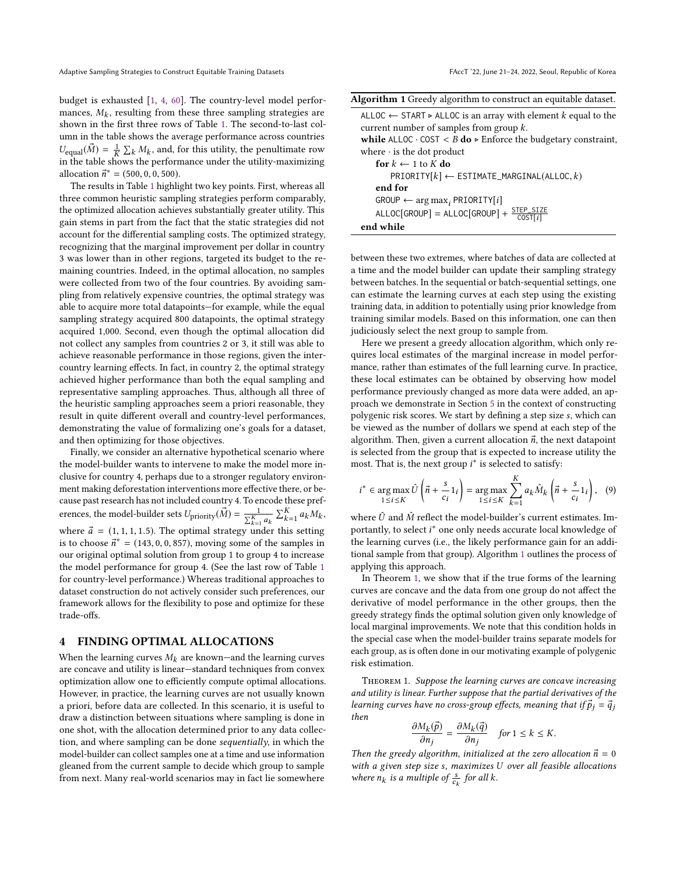budget is exhausted [\[1,](#page-9-25) [4,](#page-9-23) [60\]](#page-10-10). The country-level model performances,  $M_k$ , resulting from these three sampling strategies are<br>shown in the first three rows of Table 1. The second-to-last colshown in the first three rows of Table [1.](#page-3-1) The second-to-last column in the table shows the average performance across countries  $U_{\text{equal}}(\vec{M}) = \frac{1}{K} \sum_{k} M_{k}$ , and, for this utility, the penultimate row<br>in the table shows the performance under the utility-maximizing  $\sum_{k} K_{k}$  and  $k$  and  $k$  are the utility-maximizing in the table shows the performance under the utility-maximizing allocation  $\vec{n}^* = (500, 0, 0, 500)$ .<br>The results in Table 1 highli

The results in Table [1](#page-3-1) highlight two key points. First, whereas all three common heuristic sampling strategies perform comparably, the optimized allocation achieves substantially greater utility. This gain stems in part from the fact that the static strategies did not account for the differential sampling costs. The optimized strategy, recognizing that the marginal improvement per dollar in country 3 was lower than in other regions, targeted its budget to the remaining countries. Indeed, in the optimal allocation, no samples were collected from two of the four countries. By avoiding sampling from relatively expensive countries, the optimal strategy was able to acquire more total datapoints—for example, while the equal sampling strategy acquired 800 datapoints, the optimal strategy acquired 1,000. Second, even though the optimal allocation did not collect any samples from countries 2 or 3, it still was able to achieve reasonable performance in those regions, given the intercountry learning effects. In fact, in country 2, the optimal strategy achieved higher performance than both the equal sampling and representative sampling approaches. Thus, although all three of the heuristic sampling approaches seem a priori reasonable, they result in quite different overall and country-level performances, demonstrating the value of formalizing one's goals for a dataset, and then optimizing for those objectives.

Finally, we consider an alternative hypothetical scenario where the model-builder wants to intervene to make the model more inclusive for country 4, perhaps due to a stronger regulatory environment making deforestation interventions more effective there, or because past research has not included country 4. To encode these preferences, the model-builder sets  $U_{\text{priority}}(\vec{M}) = \frac{1}{\sum_{k=1}^{K}}$  $\frac{1}{\sum_{k=1}^K a_k} \sum_{k=1}^K a_k M_k$ where  $\vec{a} = (1, 1, 1, 1.5)$ . The optimal strategy under this setting<br>is to choose  $\vec{r}^* = (143, 0, 0, 857)$  moving some of the samples in , is to choose  $\vec{n}^* = (143, 0, 0, 857)$ , moving some of the samples in<br>our original optimal solution from group 1 to group 4 to increase our original optimal solution from group 1 to group 4 to increase the model performance for group 4. (See the last row of Table [1](#page-3-1) for country-level performance.) Whereas traditional approaches to dataset construction do not actively consider such preferences, our framework allows for the flexibility to pose and optimize for these trade-offs.

### <span id="page-4-0"></span>4 FINDING OPTIMAL ALLOCATIONS

When the learning curves  $M_k$  are known—and the learning curves are concave and utility is linear—standard techniques from convex optimization allow one to efficiently compute optimal allocations. However, in practice, the learning curves are not usually known a priori, before data are collected. In this scenario, it is useful to draw a distinction between situations where sampling is done in one shot, with the allocation determined prior to any data collection, and where sampling can be done sequentially, in which the model-builder can collect samples one at a time and use information gleaned from the current sample to decide which group to sample from next. Many real-world scenarios may in fact lie somewhere

<span id="page-4-1"></span>

| Algorithm 1 Greedy algorithm to construct an equitable dataset. |  |  |  |  |  |
|-----------------------------------------------------------------|--|--|--|--|--|
|                                                                 |  |  |  |  |  |

| ALLOC $\leftarrow$ START $\triangleright$ ALLOC is an array with element k equal to the |
|-----------------------------------------------------------------------------------------|
| current number of samples from group $k$ .                                              |
| while ALLOC $\cdot$ COST < B do $\triangleright$ Enforce the budgetary constraint,      |
| where $\cdot$ is the dot product                                                        |
| for $k \leftarrow 1$ to K do                                                            |
| $PRIORITY[k] \leftarrow ESTIMATE\_MARGINAL(ALLOC, k)$                                   |
| end for                                                                                 |
| $\text{GROUP} \leftarrow \arg \max_i \text{PRIORITY}[i]$                                |
| $ALLOC[GROUP] = ALLOC[GROUP] + \frac{STEP_SIZE}{COST[i]}$                               |
| end while                                                                               |

between these two extremes, where batches of data are collected at a time and the model builder can update their sampling strategy between batches. In the sequential or batch-sequential settings, one can estimate the learning curves at each step using the existing training data, in addition to potentially using prior knowledge from training similar models. Based on this information, one can then judiciously select the next group to sample from.

Here we present a greedy allocation algorithm, which only requires local estimates of the marginal increase in model performance, rather than estimates of the full learning curve. In practice, these local estimates can be obtained by observing how model performance previously changed as more data were added, an approach we demonstrate in Section [5](#page-5-0) in the context of constructing polygenic risk scores. We start by defining a step size s, which can be viewed as the number of dollars we spend at each step of the algorithm. Then, given a current allocation  $\vec{n}$ , the next datapoint is selected from the group that is expected to increase utility the most. That is, the next group  $i^*$  is selected to satisfy:

$$
i^* \in \underset{1 \le i \le K}{\arg \max} \hat{U}\left(\vec{n} + \frac{s}{c_i}1_i\right) = \underset{1 \le i \le K}{\arg \max} \sum_{k=1}^K a_k \hat{M}_k \left(\vec{n} + \frac{s}{c_i}1_i\right), \quad (9)
$$

where  $\hat{U}$  and  $\hat{M}$  reflect the model-builder's current estimates. Importantly, to select *i*<sup>\*</sup> one only needs accurate local knowledge of the larging curves (i.e. the likely performance gain for an addithe learning curves (i.e., the likely performance gain for an additional sample from that group). Algorithm [1](#page-4-1) outlines the process of applying this approach.

In Theorem [1,](#page-4-2) we show that if the true forms of the learning curves are concave and the data from one group do not affect the derivative of model performance in the other groups, then the greedy strategy finds the optimal solution given only knowledge of local marginal improvements. We note that this condition holds in the special case when the model-builder trains separate models for each group, as is often done in our motivating example of polygenic risk estimation.

<span id="page-4-2"></span>Theorem 1. Suppose the learning curves are concave increasing and utility is linear. Further suppose that the partial derivatives of the learning curves have no cross-group effects, meaning that if  $\vec{p}_i = \vec{q}_i$ then

$$
\frac{\partial M_k(\vec{p})}{\partial n_j} = \frac{\partial M_k(\vec{q})}{\partial n_j} \quad \text{for } 1 \le k \le K.
$$

*Then the greedy algorithm, initialized at the zero allocation*  $\vec{n} = 0$ <br>with a given step size s, maximizes U over all feasible allocations with a given step size s, maximizes U over all feasible allocations where  $n_k$  is a multiple of  $\frac{s}{c_k}$  for all k.

c<sub>k</sub>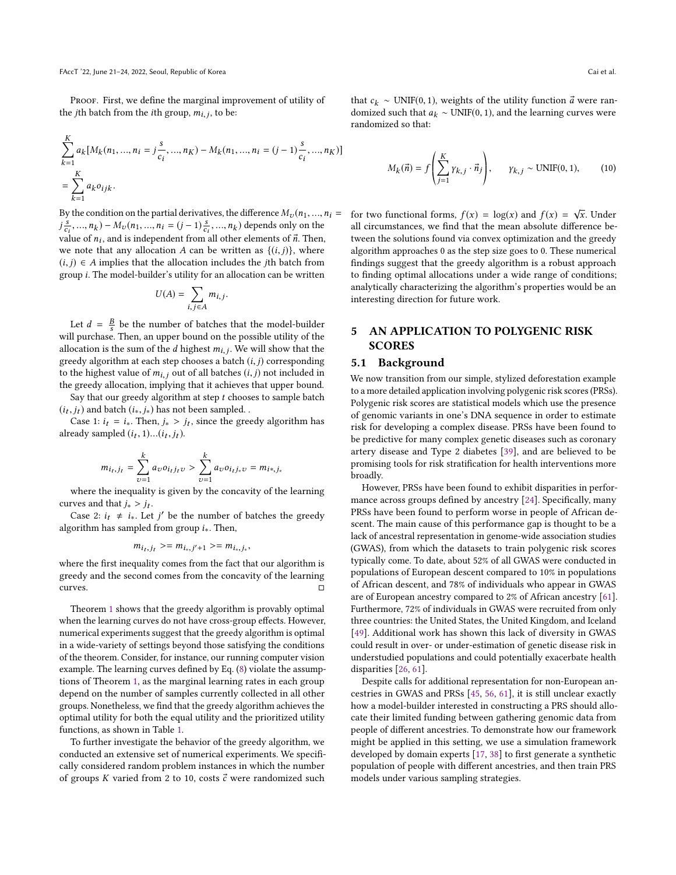PROOF. First, we define the marginal improvement of utility of the *j*th batch from the *i*th group,  $m_{i,j}$ , to be:

$$
\sum_{k=1}^{K} a_k [M_k(n_1, ..., n_i = j \frac{s}{c_i}, ..., n_K) - M_k(n_1, ..., n_i = (j-1) \frac{s}{c_i}, ..., n_K)]
$$
  
= 
$$
\sum_{k=1}^{K} a_k o_{ijk}.
$$

By the condition on the partial derivatives, the difference  $M_v(n_1, ..., n_i =$  $v_{ci}$ ,  $\sigma_{ni}$ , and is independent from all other elements of  $\vec{n}$ . Then,<br>walue of *n<sub>i</sub>*, and is independent from all other elements of  $\vec{n}$ . Then,  $\frac{s}{s_i}, ..., n_k$ ) –  $M_v(n_1, ..., n_i = (j-1)\frac{s}{s_i}, ..., n_k)$  depends only on the we note that any allocation A can be written as  $\{(i, j)\}\)$ , where  $(i, j) \in A$  implies that the allocation includes the *j*th batch from group i. The model-builder's utility for an allocation can be written

$$
U(A) = \sum_{i,j \in A} m_{i,j}
$$

Let  $d = \frac{B}{s}$  be the number of batches that the model-builder<br>ll purchase. Then an upper bound on the possible utility of the will purchase. Then, an upper bound on the possible utility of the allocation is the sum of the *d* highest  $m_{i,j}$ . We will show that the greedy algorithm at each step chooses a batch  $(i,j)$  corresponding greedy algorithm at each step chooses a batch  $(i, j)$  corresponding to the highest value of  $m_{i,j}$  out of all batches  $(i, j)$  not included in the greedy allocation, implying that it achieves that upper bound.

Say that our greedy algorithm at step  $t$  chooses to sample batch  $(i_t, j_t)$  and batch  $(i_*, j_*)$  has not been sampled.<br>Case 1:  $i_t = i$  Then  $j > i_t$  since the gree

Case 1:  $i_t = i_*$ . Then,  $j_* > j_t$ , since the greedy algorithm has already sampled  $(i_t, 1)...(i_t, j_t)$ .

$$
m_{i_t,j_t} = \sum_{v=1}^k a_v o_{i_tj_t v} > \sum_{v=1}^k a_v o_{i_tj_* v} = m_{i*,j_*}
$$

where the inequality is given by the concavity of the learning curves and that  $j_* > j_t$ .<br>Case 2:  $j_* \neq j$  Let

Case 2:  $i_t \neq i_*.$  Let j' be the number of batches the greedy certified based segments. Then algorithm has sampled from group  $i_*$ . Then,

$$
m_{i_t,j_t} \geq m_{i_*,j'+1} \geq m_{i_*,j_*},
$$

where the first inequality comes from the fact that our algorithm is greedy and the second comes from the concavity of the learning curves. □

Theorem [1](#page-4-2) shows that the greedy algorithm is provably optimal when the learning curves do not have cross-group effects. However, numerical experiments suggest that the greedy algorithm is optimal in a wide-variety of settings beyond those satisfying the conditions of the theorem. Consider, for instance, our running computer vision example. The learning curves defined by Eq. [\(8\)](#page-3-2) violate the assumptions of Theorem [1,](#page-4-2) as the marginal learning rates in each group depend on the number of samples currently collected in all other groups. Nonetheless, we find that the greedy algorithm achieves the optimal utility for both the equal utility and the prioritized utility functions, as shown in Table [1.](#page-3-1)

To further investigate the behavior of the greedy algorithm, we conducted an extensive set of numerical experiments. We specifically considered random problem instances in which the number of groups K varied from 2 to 10, costs  $\vec{c}$  were randomized such that  $c_k$  ∼ UNIF(0, 1), weights of the utility function  $\vec{a}$  were randomized such that  $a_k \sim UNIF(0, 1)$ , and the learning curves were randomized so that:

$$
M_k(\vec{n}) = f\left(\sum_{j=1}^K \gamma_{k,j} \cdot \vec{n}_j\right), \qquad \gamma_{k,j} \sim \text{UNIF}(0,1), \tag{10}
$$

for two functional forms,  $f(x) = \log(x)$  and  $f(x) = \sqrt{x}$ . Under all circumstances we find that the mean absolute difference beall circumstances, we find that the mean absolute difference between the solutions found via convex optimization and the greedy algorithm approaches 0 as the step size goes to 0. These numerical findings suggest that the greedy algorithm is a robust approach to finding optimal allocations under a wide range of conditions; analytically characterizing the algorithm's properties would be an interesting direction for future work.

# <span id="page-5-0"></span>5 AN APPLICATION TO POLYGENIC RISK **SCORES**

### 5.1 Background

We now transition from our simple, stylized deforestation example to a more detailed application involving polygenic risk scores (PRSs). Polygenic risk scores are statistical models which use the presence of genomic variants in one's DNA sequence in order to estimate risk for developing a complex disease. PRSs have been found to be predictive for many complex genetic diseases such as coronary artery disease and Type 2 diabetes [\[39\]](#page-9-33), and are believed to be promising tools for risk stratification for health interventions more broadly.

However, PRSs have been found to exhibit disparities in performance across groups defined by ancestry [\[24\]](#page-9-34). Specifically, many PRSs have been found to perform worse in people of African descent. The main cause of this performance gap is thought to be a lack of ancestral representation in genome-wide association studies (GWAS), from which the datasets to train polygenic risk scores typically come. To date, about 52% of all GWAS were conducted in populations of European descent compared to 10% in populations of African descent, and 78% of individuals who appear in GWAS are of European ancestry compared to 2% of African ancestry [\[61\]](#page-10-14). Furthermore, 72% of individuals in GWAS were recruited from only three countries: the United States, the United Kingdom, and Iceland [\[49\]](#page-10-15). Additional work has shown this lack of diversity in GWAS could result in over- or under-estimation of genetic disease risk in understudied populations and could potentially exacerbate health disparities [\[26,](#page-9-35) [61\]](#page-10-14).

Despite calls for additional representation for non-European ancestries in GWAS and PRSs [\[45,](#page-10-16) [56,](#page-10-17) [61\]](#page-10-14), it is still unclear exactly how a model-builder interested in constructing a PRS should allocate their limited funding between gathering genomic data from people of different ancestries. To demonstrate how our framework might be applied in this setting, we use a simulation framework developed by domain experts [\[17,](#page-9-36) [38\]](#page-9-37) to first generate a synthetic population of people with different ancestries, and then train PRS models under various sampling strategies.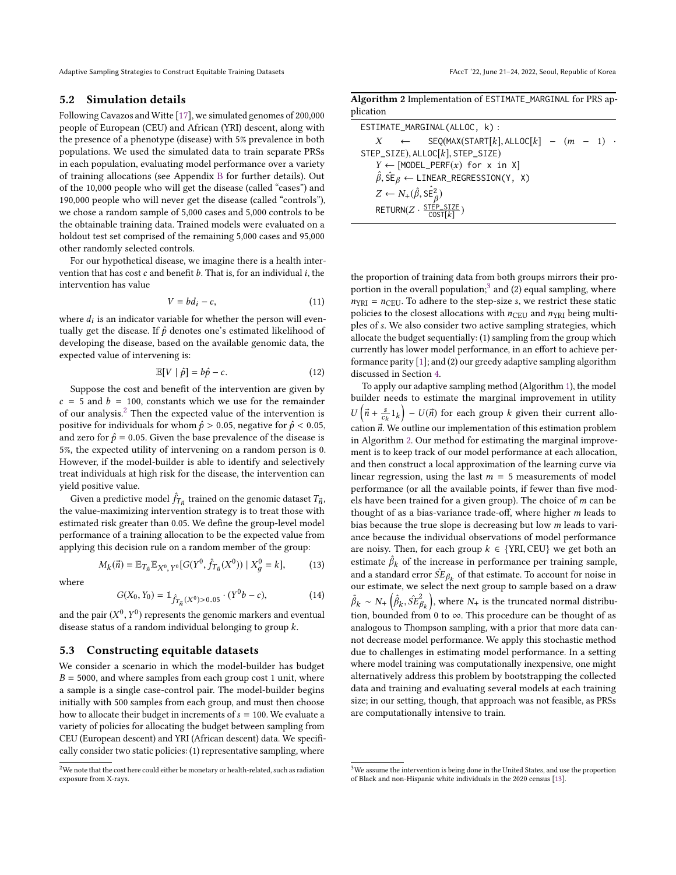Adaptive Sampling Strategies to Construct Equitable Training Datasets FACCT '22, June 21-24, 2022, Seoul, Republic of Korea

### 5.2 Simulation details

Following Cavazos and Witte [\[17\]](#page-9-36), we simulated genomes of 200,000 people of European (CEU) and African (YRI) descent, along with the presence of a phenotype (disease) with 5% prevalence in both populations. We used the simulated data to train separate PRSs in each population, evaluating model performance over a variety of training allocations (see Appendix [B](#page-10-18) for further details). Out of the 10,000 people who will get the disease (called "cases") and 190,000 people who will never get the disease (called "controls"), we chose a random sample of 5,000 cases and 5,000 controls to be the obtainable training data. Trained models were evaluated on a holdout test set comprised of the remaining 5,000 cases and 95,000 other randomly selected controls.

For our hypothetical disease, we imagine there is a health intervention that has cost  $c$  and benefit  $b$ . That is, for an individual  $i$ , the intervention has value

$$
V = bd_i - c,\t\t(11)
$$

where  $d_i$  is an indicator variable for whether the person will even-<br>tually get the disease. If  $\hat{\theta}$  denotes ano's estimated likelihood of tually get the disease. If  $\hat{p}$  denotes one's estimated likelihood of developing the disease, based on the available genomic data, the expected value of intervening is:

$$
\mathbb{E}[V \mid \hat{p}] = b\hat{p} - c. \tag{12}
$$

Suppose the cost and benefit of the intervention are given by  $c = 5$  and  $b = 100$ , constants which we use for the remainder of our analysis. $2$  Then the expected value of the intervention is positive for individuals for whom  $\hat{p} > 0.05$ , negative for  $\hat{p} < 0.05$ , and zero for  $\hat{p} = 0.05$ . Given the base prevalence of the disease is 5%, the expected utility of intervening on a random person is 0. However, if the model-builder is able to identify and selectively treat individuals at high risk for the disease, the intervention can yield positive value.

Given a predictive model  $\hat{f}_{T_{\vec{n}}}$  trained on the genomic dataset  $T_{\vec{n}}$ , value-maximizing intervention strategy is to treat those with force a predictive moder  $f_{T_n}$  trained on the genomic dataset  $f_n$ ;<br>the value-maximizing intervention strategy is to treat those with estimated risk greater than 0.05. We define the group-level model performance of a training allocation to be the expected value from applying this decision rule on a random member of the group:

$$
M_k(\vec{n}) = \mathbb{E}_{T_{\vec{n}}} \mathbb{E}_{X^0, Y^0} [G(Y^0, \hat{f}_{T_{\vec{n}}}(X^0)) | X_g^0 = k], \tag{13}
$$

where

$$
G(X_0, Y_0) = \mathbb{1}_{\hat{f}_{T_{\vec{n}}}(X^0) > 0.05} \cdot (Y^0 b - c), \tag{14}
$$

and the pair  $(X^0, Y^0)$  represents the genomic markers and eventual<br>disease status of a random individual belonging to group k disease status of a random individual belonging to group  $k$ .

# 5.3 Constructing equitable datasets

We consider a scenario in which the model-builder has budget  $B = 5000$ , and where samples from each group cost 1 unit, where a sample is a single case-control pair. The model-builder begins initially with 500 samples from each group, and must then choose how to allocate their budget in increments of  $s = 100$ . We evaluate a variety of policies for allocating the budget between sampling from CEU (European descent) and YRI (African descent) data. We specifically consider two static policies: (1) representative sampling, where

<span id="page-6-2"></span>

|           | Algorithm 2 Implementation of ESTIMATE_MARGINAL for PRS ap- |  |  |
|-----------|-------------------------------------------------------------|--|--|
| plication |                                                             |  |  |

| ESTIMATE_MARGINAL(ALLOC, k):                                                         |  |
|--------------------------------------------------------------------------------------|--|
| $X \leftarrow$ SEQ(MAX(START[k], ALLOC[k] - $(m - 1)$ .                              |  |
| STEP_SIZE), ALLOC $[k]$ , STEP_SIZE)                                                 |  |
| $Y \leftarrow [MODEL_PERF(x) for x in X]$                                            |  |
| $\hat{\beta}$ , $\hat{\text{SE}}_{\beta} \leftarrow \text{LINEAR\_REGRESSION}(Y, X)$ |  |
| $Z \leftarrow N_{+}(\hat{\beta}, \hat{\text{SE}}_{\beta}^{2})$                       |  |
| RETURN $(Z \cdot \frac{\text{STÉP\_SIZE}}{\text{COST}[k]})$                          |  |

the proportion of training data from both groups mirrors their pro-portion in the overall population:<sup>[3](#page-6-1)</sup> and (2) equal sampling, where  $n<sub>YRI</sub> = n<sub>CEU</sub>$ . To adhere to the step-size s, we restrict these static policies to the closest allocations with  $n_{CEU}$  and  $n_{YRI}$  being multiples of s. We also consider two active sampling strategies, which allocate the budget sequentially: (1) sampling from the group which currently has lower model performance, in an effort to achieve performance parity [\[1\]](#page-9-25); and (2) our greedy adaptive sampling algorithm discussed in Section [4.](#page-4-0)

To apply our adaptive sampling method (Algorithm [1\)](#page-4-1), the model builder needs to estimate the marginal improvement in utility cation  $\vec{n}$ . We outline our implementation of this estimation problem<br>in Algorithm 2. Our method for estimating the marginal improve- $\left(\vec{n} + \frac{s}{c_k} 1_k\right) - U(\vec{n})$  for each group k given their current alloin Algorithm [2.](#page-6-2) Our method for estimating the marginal improvement is to keep track of our model performance at each allocation, and then construct a local approximation of the learning curve via linear regression, using the last  $m = 5$  measurements of model performance (or all the available points, if fewer than five models have been trained for a given group). The choice of m can be thought of as a bias-variance trade-off, where higher m leads to bias because the true slope is decreasing but low m leads to variance because the individual observations of model performance are noisy. Then, for each group  $k\,\in\,\{\rm YRI,CEU\}$  we get both an estimate  $\hat{\beta}_k$  of the increase in performance per training sample, and a standard error  $\hat{SE}_{\beta_k}$  of that estimate. To account for noise in our estimate we select the next group to sample based on a draw our estimate, we select the next group to sample based on a draw  $\tilde{\beta}_k \sim N_+\left(\hat{\beta}_k, \hat{SE}_{\beta_k}^2\right)$ , where  $N_+$  is the truncated normal distribution, bounded from 0 to  $\infty$ . This procedure can be thought of as analogous to Thompson sampling, with a prior that more data cannot decrease model performance. We apply this stochastic method due to challenges in estimating model performance. In a setting where model training was computationally inexpensive, one might alternatively address this problem by bootstrapping the collected data and training and evaluating several models at each training size; in our setting, though, that approach was not feasible, as PRSs are computationally intensive to train.

<span id="page-6-0"></span> $2$ We note that the cost here could either be monetary or health-related, such as radiation exposure from X-rays.

<span id="page-6-1"></span><sup>&</sup>lt;sup>3</sup>We assume the intervention is being done in the United States, and use the proportion of Black and non-Hispanic white individuals in the 2020 census [\[13\]](#page-9-38).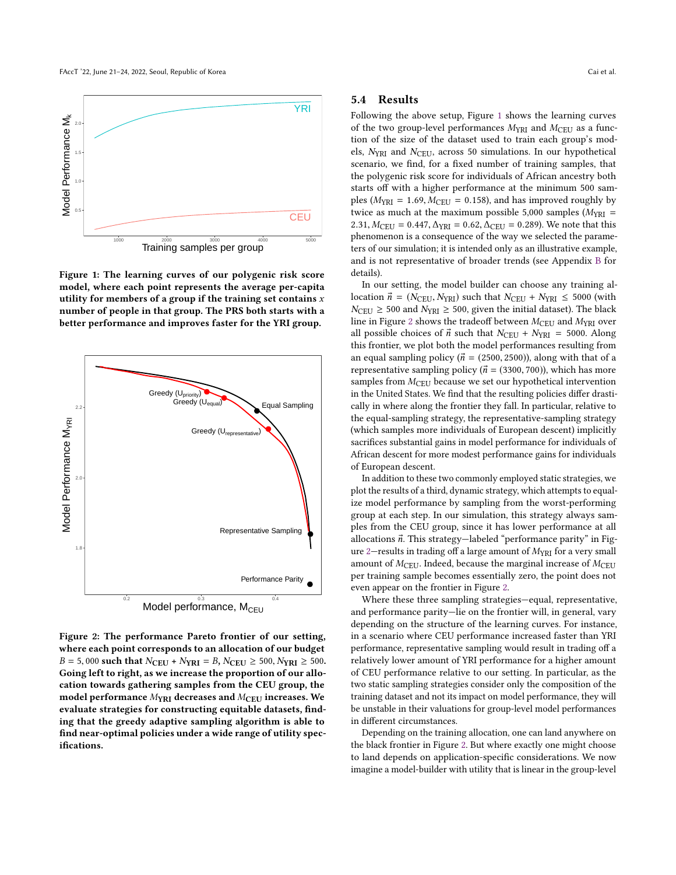<span id="page-7-0"></span>

Figure 1: The learning curves of our polygenic risk score model, where each point represents the average per-capita utility for members of a group if the training set contains  $x$ number of people in that group. The PRS both starts with a better performance and improves faster for the YRI group.

<span id="page-7-1"></span>

Figure 2: The performance Pareto frontier of our setting, where each point corresponds to an allocation of our budget  $B = 5,000$  such that  $N_{CEU} + N_{YRI} = B$ ,  $N_{CEU} \ge 500$ ,  $N_{YRI} \ge 500$ . Going left to right, as we increase the proportion of our allocation towards gathering samples from the CEU group, the model performance  $M_{YRI}$  decreases and  $M_{CEU}$  increases. We evaluate strategies for constructing equitable datasets, finding that the greedy adaptive sampling algorithm is able to find near-optimal policies under a wide range of utility specifications.

### 5.4 Results

Following the above setup, Figure [1](#page-7-0) shows the learning curves of the two group-level performances  $M_{\text{YRI}}$  and  $M_{\text{CEU}}$  as a function of the size of the dataset used to train each group's models,  $N<sub>YRI</sub>$  and  $N<sub>CEU</sub>$ , across 50 simulations. In our hypothetical scenario, we find, for a fixed number of training samples, that the polygenic risk score for individuals of African ancestry both starts off with a higher performance at the minimum 500 samples ( $M_{\text{YRI}} = 1.69, M_{\text{CEU}} = 0.158$ ), and has improved roughly by twice as much at the maximum possible 5,000 samples ( $M_{YRI}$  = 2.31,  $M_{\text{CEU}} = 0.447$ ,  $\Delta_{\text{YRI}} = 0.62$ ,  $\Delta_{\text{CEU}} = 0.289$ ). We note that this phenomenon is a consequence of the way we selected the parameters of our simulation; it is intended only as an illustrative example, and is not representative of broader trends (see Appendix [B](#page-10-18) for details).

In our setting, the model builder can choose any training allocation  $\vec{n}$  = (N<sub>CEU</sub>, N<sub>YRI</sub>) such that  $N_{\text{CEU}} + N_{\text{YRI}} \leq 5000$  (with  $N_{CEU} \ge 500$  and  $N_{YRI} \ge 500$ , given the initial dataset). The black line in Figure [2](#page-7-1) shows the tradeoff between  $M_{\rm CEU}$  and  $M_{\rm YRI}$  over all possible choices of  $\vec{n}$  such that  $N_{\text{CEU}} + N_{\text{YRI}} = 5000$ . Along this frontier, we plot both the model performances resulting from an equal sampling policy ( $\vec{n}$  = (2500, 2500)), along with that of a representative sampling policy ( $\vec{n}$  = (3300, 700)), which has more samples from  $M<sub>CEU</sub>$  because we set our hypothetical intervention in the United States. We find that the resulting policies differ drastically in where along the frontier they fall. In particular, relative to the equal-sampling strategy, the representative-sampling strategy (which samples more individuals of European descent) implicitly sacrifices substantial gains in model performance for individuals of African descent for more modest performance gains for individuals of European descent.

In addition to these two commonly employed static strategies, we plot the results of a third, dynamic strategy, which attempts to equalize model performance by sampling from the worst-performing group at each step. In our simulation, this strategy always samples from the CEU group, since it has lower performance at all allocations  $\vec{n}$ . This strategy—labeled "performance parity" in Figure 2–results in trading off a large amount of  $M_{YRI}$  for a very small amount of  $M<sub>CEU</sub>$ . Indeed, because the marginal increase of  $M<sub>CEU</sub>$ per training sample becomes essentially zero, the point does not even appear on the frontier in Figure [2.](#page-7-1)

Where these three sampling strategies—equal, representative, and performance parity—lie on the frontier will, in general, vary depending on the structure of the learning curves. For instance, in a scenario where CEU performance increased faster than YRI performance, representative sampling would result in trading off a relatively lower amount of YRI performance for a higher amount of CEU performance relative to our setting. In particular, as the two static sampling strategies consider only the composition of the training dataset and not its impact on model performance, they will be unstable in their valuations for group-level model performances in different circumstances.

Depending on the training allocation, one can land anywhere on the black frontier in Figure [2.](#page-7-1) But where exactly one might choose to land depends on application-specific considerations. We now imagine a model-builder with utility that is linear in the group-level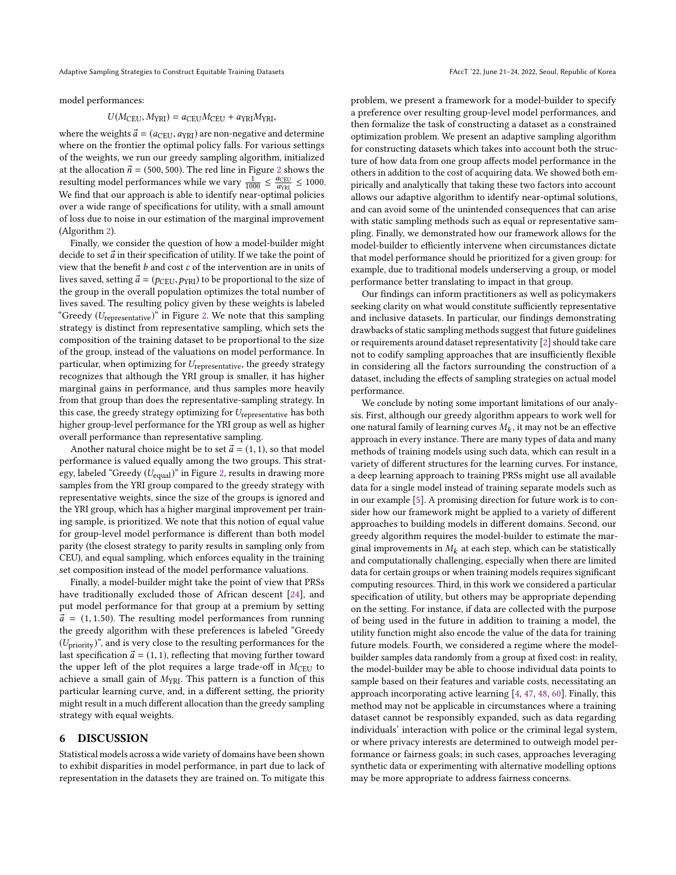model performances:

### $U(M_{\text{CEU}}, M_{\text{YRI}}) = a_{\text{CEU}} M_{\text{CEU}} + a_{\text{YRI}} M_{\text{YRI}}$

where the weights  $\vec{a} = (a_{\text{CEU}}, a_{\text{YRI}})$  are non-negative and determine where on the frontier the optimal policy falls. For various settings of the weights, we run our greedy sampling algorithm, initialized at the allocation  $\vec{n}$  = (500, 500). The red line in Figure [2](#page-7-1) shows the resulting model performances while we vary  $\frac{1}{1000} \leq \frac{a_{\text{CEU}}}{a_{\text{VPI}}} \leq 1000$ . Esulting model performances while we vary  $_{1000}^{1000} \div a_{\text{gamma}}^{2}$  1000.<br>We find that our approach is able to identify near-optimal policies over a wide range of specifications for utility, with a small amount of loss due to noise in our estimation of the marginal improvement (Algorithm [2\)](#page-6-2).

Finally, we consider the question of how a model-builder might decide to set  $\vec{a}$  in their specification of utility. If we take the point of view that the benefit  $b$  and cost  $c$  of the intervention are in units of lives saved, setting  $\vec{a} = (p_{\text{CEU}}, p_{\text{YRI}})$  to be proportional to the size of the group in the overall population optimizes the total number of lives saved. The resulting policy given by these weights is labeled "Greedy  $(U_{\text{representative}})$ " in Figure [2.](#page-7-1) We note that this sampling strategy is distinct from representative sampling, which sets the composition of the training dataset to be proportional to the size of the group, instead of the valuations on model performance. In particular, when optimizing for  $U_{\text{representative}}$ , the greedy strategy recognizes that although the YRI group is smaller, it has higher marginal gains in performance, and thus samples more heavily from that group than does the representative-sampling strategy. In this case, the greedy strategy optimizing for  $U_{\text{representative}}$  has both higher group-level performance for the YRI group as well as higher overall performance than representative sampling.

Another natural choice might be to set  $\vec{a} = (1, 1)$ , so that model performance is valued equally among the two groups. This strategy, labeled "Greedy  $(U_{\text{equal}})$ " in Figure [2,](#page-7-1) results in drawing more samples from the YRI group compared to the greedy strategy with representative weights, since the size of the groups is ignored and the YRI group, which has a higher marginal improvement per training sample, is prioritized. We note that this notion of equal value for group-level model performance is different than both model parity (the closest strategy to parity results in sampling only from CEU), and equal sampling, which enforces equality in the training set composition instead of the model performance valuations.

Finally, a model-builder might take the point of view that PRSs have traditionally excluded those of African descent [\[24\]](#page-9-34), and put model performance for that group at a premium by setting  $\vec{a}$  = (1, 1.50). The resulting model performances from running the greedy algorithm with these preferences is labeled "Greedy  $(U<sub>priority</sub>)$ ", and is very close to the resulting performances for the last specification  $\vec{a} = (1, 1)$ , reflecting that moving further toward the upper left of the plot requires a large trade-off in  $M<sub>CEU</sub>$  to achieve a small gain of  $M<sub>YRI</sub>$ . This pattern is a function of this particular learning curve, and, in a different setting, the priority might result in a much different allocation than the greedy sampling strategy with equal weights.

# 6 DISCUSSION

Statistical models across a wide variety of domains have been shown to exhibit disparities in model performance, in part due to lack of representation in the datasets they are trained on. To mitigate this

problem, we present a framework for a model-builder to specify a preference over resulting group-level model performances, and then formalize the task of constructing a dataset as a constrained optimization problem. We present an adaptive sampling algorithm for constructing datasets which takes into account both the structure of how data from one group affects model performance in the others in addition to the cost of acquiring data. We showed both empirically and analytically that taking these two factors into account allows our adaptive algorithm to identify near-optimal solutions, and can avoid some of the unintended consequences that can arise with static sampling methods such as equal or representative sampling. Finally, we demonstrated how our framework allows for the model-builder to efficiently intervene when circumstances dictate that model performance should be prioritized for a given group: for example, due to traditional models underserving a group, or model performance better translating to impact in that group.

Our findings can inform practitioners as well as policymakers seeking clarity on what would constitute sufficiently representative and inclusive datasets. In particular, our findings demonstrating drawbacks of static sampling methods suggest that future guidelines or requirements around dataset representativity [\[2\]](#page-9-19) should take care not to codify sampling approaches that are insufficiently flexible in considering all the factors surrounding the construction of a dataset, including the effects of sampling strategies on actual model performance.

We conclude by noting some important limitations of our analysis. First, although our greedy algorithm appears to work well for one natural family of learning curves  $M_k$ , it may not be an effective<br>approach in every instance. There are many types of data and many approach in every instance. There are many types of data and many methods of training models using such data, which can result in a variety of different structures for the learning curves. For instance, a deep learning approach to training PRSs might use all available data for a single model instead of training separate models such as in our example [\[5\]](#page-9-39). A promising direction for future work is to consider how our framework might be applied to a variety of different approaches to building models in different domains. Second, our greedy algorithm requires the model-builder to estimate the marginal improvements in  $M_k$  at each step, which can be statistically and computationally challenging, especially when there are limited data for certain groups or when training models requires significant computing resources. Third, in this work we considered a particular specification of utility, but others may be appropriate depending on the setting. For instance, if data are collected with the purpose of being used in the future in addition to training a model, the utility function might also encode the value of the data for training future models. Fourth, we considered a regime where the modelbuilder samples data randomly from a group at fixed cost: in reality, the model-builder may be able to choose individual data points to sample based on their features and variable costs, necessitating an approach incorporating active learning [\[4,](#page-9-23) [47,](#page-10-19) [48,](#page-10-20) [60\]](#page-10-10). Finally, this method may not be applicable in circumstances where a training dataset cannot be responsibly expanded, such as data regarding individuals' interaction with police or the criminal legal system, or where privacy interests are determined to outweigh model performance or fairness goals; in such cases, approaches leveraging synthetic data or experimenting with alternative modelling options may be more appropriate to address fairness concerns.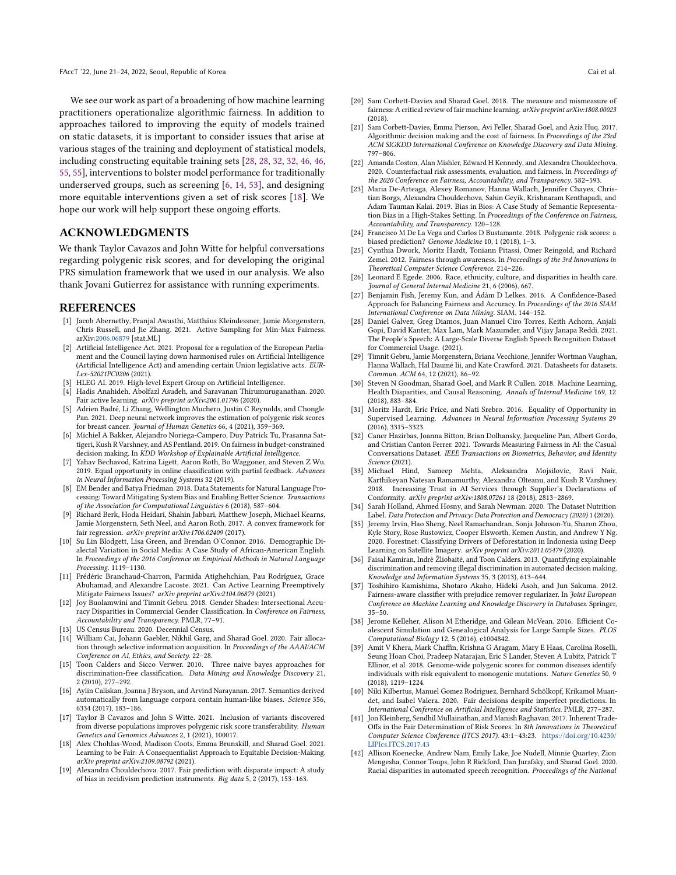We see our work as part of a broadening of how machine learning practitioners operationalize algorithmic fairness. In addition to approaches tailored to improving the equity of models trained on static datasets, it is important to consider issues that arise at various stages of the training and deployment of statistical models, including constructing equitable training sets [\[28,](#page-9-28) [28,](#page-9-28) [32,](#page-9-29) [32,](#page-9-29) [46,](#page-10-12) [46,](#page-10-12) [55,](#page-10-13) [55\]](#page-10-13), interventions to bolster model performance for traditionally underserved groups, such as screening [\[6,](#page-9-40) [14,](#page-9-41) [53\]](#page-10-21), and designing more equitable interventions given a set of risk scores [\[18\]](#page-9-24). We hope our work will help support these ongoing efforts.

### ACKNOWLEDGMENTS

We thank Taylor Cavazos and John Witte for helpful conversations regarding polygenic risk scores, and for developing the original PRS simulation framework that we used in our analysis. We also thank Jovani Gutierrez for assistance with running experiments.

### REFERENCES

- <span id="page-9-25"></span>[1] Jacob Abernethy, Pranjal Awasthi, Matthäus Kleindessner, Jamie Morgenstern, Chris Russell, and Jie Zhang. 2021. Active Sampling for Min-Max Fairness. arXiv[:2006.06879](https://arxiv.org/abs/2006.06879) [stat.ML]
- <span id="page-9-19"></span>[2] Artificial Intelligence Act. 2021. Proposal for a regulation of the European Parliament and the Council laying down harmonised rules on Artificial Intelligence (Artificial Intelligence Act) and amending certain Union legislative acts. EUR-Lex-52021PC0206 (2021).
- <span id="page-9-20"></span>[3] HLEG AI. 2019. High-level Expert Group on Artificial Intelligence.
- <span id="page-9-23"></span>[4] Hadis Anahideh, Abolfazl Asudeh, and Saravanan Thirumuruganathan. 2020. Fair active learning. arXiv preprint arXiv:2001.01796 (2020).
- <span id="page-9-39"></span>[5] Adrien Badré, Li Zhang, Wellington Muchero, Justin C Reynolds, and Chongle Pan. 2021. Deep neural network improves the estimation of polygenic risk scores for breast cancer. Journal of Human Genetics 66, 4 (2021), 359–369.
- <span id="page-9-40"></span>[6] Michiel A Bakker, Alejandro Noriega-Campero, Duy Patrick Tu, Prasanna Sattigeri, Kush R Varshney, and AS Pentland. 2019. On fairness in budget-constrained decision making. In KDD Workshop of Explainable Artificial Intelligence.
- <span id="page-9-26"></span>[7] Yahav Bechavod, Katrina Ligett, Aaron Roth, Bo Waggoner, and Steven Z Wu. 2019. Equal opportunity in online classification with partial feedback. Advances in Neural Information Processing Systems 32 (2019).
- <span id="page-9-30"></span>[8] EM Bender and Batya Friedman. 2018. Data Statements for Natural Language Processing: Toward Mitigating System Bias and Enabling Better Science. Transactions of the Association for Computational Linguistics 6 (2018), 587–604.
- <span id="page-9-11"></span>[9] Richard Berk, Hoda Heidari, Shahin Jabbari, Matthew Joseph, Michael Kearns, Jamie Morgenstern, Seth Neel, and Aaron Roth. 2017. A convex framework for fair regression. arXiv preprint arXiv:1706.02409 (2017).
- <span id="page-9-2"></span>[10] Su Lin Blodgett, Lisa Green, and Brendan O'Connor. 2016. Demographic Dialectal Variation in Social Media: A Case Study of African-American English. In Proceedings of the 2016 Conference on Empirical Methods in Natural Language Processing. 1119–1130.
- <span id="page-9-22"></span>[11] Frédéric Branchaud-Charron, Parmida Atighehchian, Pau Rodríguez, Grace Abuhamad, and Alexandre Lacoste. 2021. Can Active Learning Preemptively Mitigate Fairness Issues? arXiv preprint arXiv:2104.06879 (2021).
- <span id="page-9-3"></span>[12] Joy Buolamwini and Timnit Gebru. 2018. Gender Shades: Intersectional Accuracy Disparities in Commercial Gender Classification. In Conference on Fairness, Accountability and Transparency. PMLR, 77–91.
- <span id="page-9-38"></span>[13] US Census Bureau. 2020. Decennial Census.
- <span id="page-9-41"></span>[14] William Cai, Johann Gaebler, Nikhil Garg, and Sharad Goel. 2020. Fair allocation through selective information acquisition. In Proceedings of the AAAI/ACM Conference on AI, Ethics, and Society. 22-28.
- <span id="page-9-12"></span>[15] Toon Calders and Sicco Verwer. 2010. Three naive bayes approaches for discrimination-free classification. Data Mining and Knowledge Discovery 21, 2 (2010), 277–292.
- <span id="page-9-4"></span>[16] Aylin Caliskan, Joanna J Bryson, and Arvind Narayanan. 2017. Semantics derived automatically from language corpora contain human-like biases. Science 356, 6334 (2017), 183–186.
- <span id="page-9-36"></span>[17] Taylor B Cavazos and John S Witte. 2021. Inclusion of variants discovered from diverse populations improves polygenic risk score transferability. Human Genetics and Genomics Advances 2, 1 (2021), 100017.
- <span id="page-9-24"></span>[18] Alex Chohlas-Wood, Madison Coots, Emma Brunskill, and Sharad Goel. 2021. Learning to be Fair: A Consequentialist Approach to Equitable Decision-Making. arXiv preprint arXiv:2109.08792 (2021).
- <span id="page-9-5"></span>[19] Alexandra Chouldechova. 2017. Fair prediction with disparate impact: A study of bias in recidivism prediction instruments. Big data 5, 2 (2017), 153–163.
- <span id="page-9-13"></span>[20] Sam Corbett-Davies and Sharad Goel. 2018. The measure and mismeasure of fairness: A critical review of fair machine learning. arXiv preprint arXiv:1808.00023 (2018).
- <span id="page-9-6"></span>[21] Sam Corbett-Davies, Emma Pierson, Avi Feller, Sharad Goel, and Aziz Huq. 2017. Algorithmic decision making and the cost of fairness. In Proceedings of the 23rd ACM SIGKDD International Conference on Knowledge Discovery and Data Mining. 797–806.
- <span id="page-9-14"></span>[22] Amanda Coston, Alan Mishler, Edward H Kennedy, and Alexandra Chouldechova. 2020. Counterfactual risk assessments, evaluation, and fairness. In Proceedings of the 2020 Conference on Fairness, Accountability, and Transparency. 582–593.
- <span id="page-9-7"></span>[23] Maria De-Arteaga, Alexey Romanov, Hanna Wallach, Jennifer Chayes, Christian Borgs, Alexandra Chouldechova, Sahin Geyik, Krishnaram Kenthapadi, and Adam Tauman Kalai. 2019. Bias in Bios: A Case Study of Semantic Representation Bias in a High-Stakes Setting. In Proceedings of the Conference on Fairness, Accountability, and Transparency. 120–128.
- <span id="page-9-34"></span>[24] Francisco M De La Vega and Carlos D Bustamante. 2018. Polygenic risk scores: a biased prediction? Genome Medicine 10, 1 (2018), 1–3.
- <span id="page-9-15"></span>[25] Cynthia Dwork, Moritz Hardt, Toniann Pitassi, Omer Reingold, and Richard Zemel. 2012. Fairness through awareness. In Proceedings of the 3rd Innovations in Theoretical Computer Science Conference. 214–226.
- <span id="page-9-35"></span>[26] Leonard E Egede. 2006. Race, ethnicity, culture, and disparities in health care. Journal of General Internal Medicine 21, 6 (2006), 667.
- <span id="page-9-16"></span>[27] Benjamin Fish, Jeremy Kun, and Ádám D Lelkes. 2016. A Confidence-Based Approach for Balancing Fairness and Accuracy. In Proceedings of the 2016 SIAM International Conference on Data Mining. SIAM, 144–152.
- <span id="page-9-28"></span>[28] Daniel Galvez, Greg Diamos, Juan Manuel Ciro Torres, Keith Achorn, Anjali Gopi, David Kanter, Max Lam, Mark Mazumder, and Vijay Janapa Reddi. 2021. The People's Speech: A Large-Scale Diverse English Speech Recognition Dataset for Commercial Usage. (2021).
- <span id="page-9-21"></span>[29] Timnit Gebru, Jamie Morgenstern, Briana Vecchione, Jennifer Wortman Vaughan, Hanna Wallach, Hal Daumé Iii, and Kate Crawford. 2021. Datasheets for datasets. Commun. ACM 64, 12 (2021), 86–92.
- <span id="page-9-8"></span>[30] Steven N Goodman, Sharad Goel, and Mark R Cullen. 2018. Machine Learning, Health Disparities, and Causal Reasoning. Annals of Internal Medicine 169, 12 (2018), 883–884.
- <span id="page-9-0"></span>[31] Moritz Hardt, Eric Price, and Nati Srebro. 2016. Equality of Opportunity in Supervised Learning. Advances in Neural Information Processing Systems 29 (2016), 3315–3323.
- <span id="page-9-29"></span>[32] Caner Hazirbas, Joanna Bitton, Brian Dolhansky, Jacqueline Pan, Albert Gordo, and Cristian Canton Ferrer. 2021. Towards Measuring Fairness in AI: the Casual Conversations Dataset. IEEE Transactions on Biometrics, Behavior, and Identity Science (2021).
- <span id="page-9-31"></span>[33] Michael Hind, Sameep Mehta, Aleksandra Mojsilovic, Ravi Nair, Karthikeyan Natesan Ramamurthy, Alexandra Olteanu, and Kush R Varshney. 2018. Increasing Trust in AI Services through Supplier's Declarations of Conformity. arXiv preprint arXiv:1808.07261 18 (2018), 2813–2869.
- <span id="page-9-32"></span>[34] Sarah Holland, Ahmed Hosny, and Sarah Newman. 2020. The Dataset Nutrition Label. Data Protection and Privacy: Data Protection and Democracy (2020) 1 (2020).
- <span id="page-9-1"></span>[35] Jeremy Irvin, Hao Sheng, Neel Ramachandran, Sonja Johnson-Yu, Sharon Zhou, Kyle Story, Rose Rustowicz, Cooper Elsworth, Kemen Austin, and Andrew Y Ng. 2020. Forestnet: Classifying Drivers of Deforestation in Indonesia using Deep Learning on Satellite Imagery. arXiv preprint arXiv:2011.05479 (2020).
- <span id="page-9-17"></span>[36] Faisal Kamiran, Indre Žliobaite, and Toon Calders. 2013. Quantifying explainable discrimination and removing illegal discrimination in automated decision making. Knowledge and Information Systems 35, 3 (2013), 613–644.
- <span id="page-9-18"></span>[37] Toshihiro Kamishima, Shotaro Akaho, Hideki Asoh, and Jun Sakuma. 2012. Fairness-aware classifier with prejudice remover regularizer. In Joint European Conference on Machine Learning and Knowledge Discovery in Databases. Springer,  $35 - 50$
- <span id="page-9-37"></span>[38] Jerome Kelleher, Alison M Etheridge, and Gilean McVean. 2016. Efficient Coalescent Simulation and Genealogical Analysis for Large Sample Sizes. PLOS Computational Biology 12, 5 (2016), e1004842.
- <span id="page-9-33"></span>[39] Amit V Khera, Mark Chaffin, Krishna G Aragam, Mary E Haas, Carolina Roselli, Seung Hoan Choi, Pradeep Natarajan, Eric S Lander, Steven A Lubitz, Patrick T Ellinor, et al. 2018. Genome-wide polygenic scores for common diseases identify individuals with risk equivalent to monogenic mutations. Nature Genetics 50, 9 (2018), 1219–1224.
- <span id="page-9-27"></span>[40] Niki Kilbertus, Manuel Gomez Rodriguez, Bernhard Schölkopf, Krikamol Muandet, and Isabel Valera. 2020. Fair decisions despite imperfect predictions. In International Conference on Artificial Intelligence and Statistics. PMLR, 277–287.
- <span id="page-9-9"></span>[41] Jon Kleinberg, Sendhil Mullainathan, and Manish Raghavan. 2017. Inherent Trade-Offs in the Fair Determination of Risk Scores. In 8th Innovations in Theoretical Computer Science Conference (ITCS 2017). 43:1–43:23. [https://doi.org/10.4230/](https://doi.org/10.4230/LIPIcs.ITCS.2017.43) [LIPIcs.ITCS.2017.43](https://doi.org/10.4230/LIPIcs.ITCS.2017.43)
- <span id="page-9-10"></span>[42] Allison Koenecke, Andrew Nam, Emily Lake, Joe Nudell, Minnie Quartey, Zion Mengesha, Connor Toups, John R Rickford, Dan Jurafsky, and Sharad Goel. 2020. Racial disparities in automated speech recognition. Proceedings of the National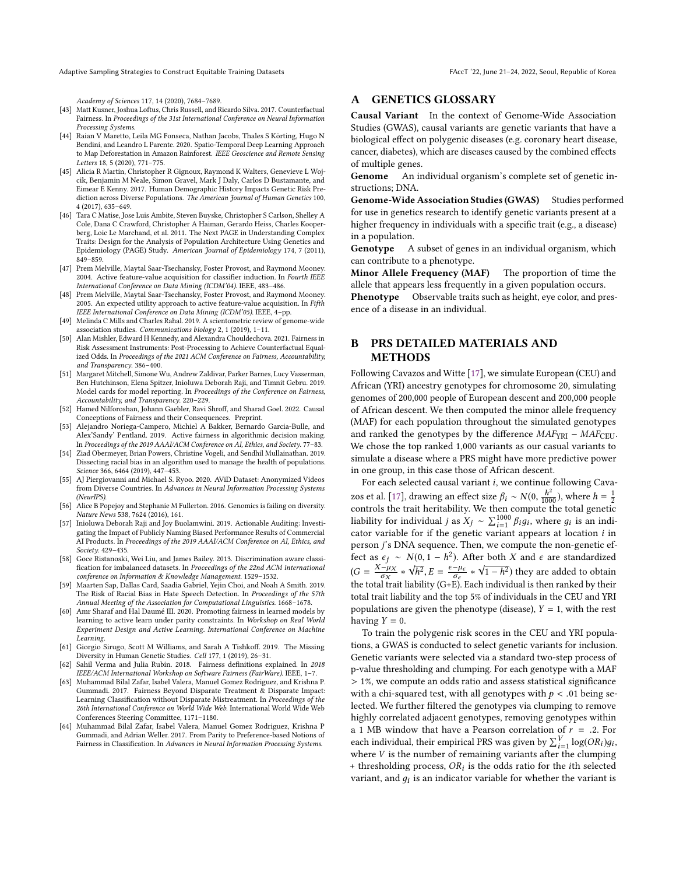Adaptive Sampling Strategies to Construct Equitable Training Datasets FACCT '22, June 21-24, 2022, Seoul, Republic of Korea

Academy of Sciences 117, 14 (2020), 7684–7689.

- <span id="page-10-3"></span>[43] Matt Kusner, Joshua Loftus, Chris Russell, and Ricardo Silva. 2017. Counterfactual Fairness. In Proceedings of the 31st International Conference on Neural Information Processing Systems.
- <span id="page-10-0"></span>[44] Raian V Maretto, Leila MG Fonseca, Nathan Jacobs, Thales S Körting, Hugo N Bendini, and Leandro L Parente. 2020. Spatio-Temporal Deep Learning Approach to Map Deforestation in Amazon Rainforest. IEEE Geoscience and Remote Sensing Letters 18, 5 (2020), 771–775.
- <span id="page-10-16"></span>[45] Alicia R Martin, Christopher R Gignoux, Raymond K Walters, Genevieve L Wojcik, Benjamin M Neale, Simon Gravel, Mark J Daly, Carlos D Bustamante, and Eimear E Kenny. 2017. Human Demographic History Impacts Genetic Risk Prediction across Diverse Populations. The American Journal of Human Genetics 100, 4 (2017), 635–649.
- <span id="page-10-12"></span>[46] Tara C Matise, Jose Luis Ambite, Steven Buyske, Christopher S Carlson, Shelley A Cole, Dana C Crawford, Christopher A Haiman, Gerardo Heiss, Charles Kooperberg, Loic Le Marchand, et al. 2011. The Next PAGE in Understanding Complex Traits: Design for the Analysis of Population Architecture Using Genetics and Epidemiology (PAGE) Study. American Journal of Epidemiology 174, 7 (2011), 849–859.
- <span id="page-10-19"></span>[47] Prem Melville, Maytal Saar-Tsechansky, Foster Provost, and Raymond Mooney. 2004. Active feature-value acquisition for classifier induction. In Fourth IEEE International Conference on Data Mining (ICDM'04). IEEE, 483–486.
- <span id="page-10-20"></span>[48] Prem Melville, Maytal Saar-Tsechansky, Foster Provost, and Raymond Mooney. 2005. An expected utility approach to active feature-value acquisition. In Fifth IEEE International Conference on Data Mining (ICDM'05). IEEE, 4–pp.
- <span id="page-10-15"></span>[49] Melinda C Mills and Charles Rahal. 2019. A scientometric review of genome-wide association studies. Communications biology 2, 1 (2019), 1–11.
- <span id="page-10-4"></span>[50] Alan Mishler, Edward H Kennedy, and Alexandra Chouldechova. 2021. Fairness in Risk Assessment Instruments: Post-Processing to Achieve Counterfactual Equalized Odds. In Proceedings of the 2021 ACM Conference on Fairness, Accountability, and Transparency. 386–400.
- <span id="page-10-8"></span>[51] Margaret Mitchell, Simone Wu, Andrew Zaldivar, Parker Barnes, Lucy Vasserman, Ben Hutchinson, Elena Spitzer, Inioluwa Deborah Raji, and Timnit Gebru. 2019. Model cards for model reporting. In Proceedings of the Conference on Fairness, Accountability, and Transparency. 220–229.
- <span id="page-10-11"></span>[52] Hamed Nilforoshan, Johann Gaebler, Ravi Shroff, and Sharad Goel. 2022. Causal Conceptions of Fairness and their Consequences. Preprint.
- <span id="page-10-21"></span>[53] Alejandro Noriega-Campero, Michiel A Bakker, Bernardo Garcia-Bulle, and Alex'Sandy' Pentland. 2019. Active fairness in algorithmic decision making. In Proceedings of the 2019 AAAI/ACM Conference on AI, Ethics, and Society. 77–83.
- <span id="page-10-1"></span>[54] Ziad Obermeyer, Brian Powers, Christine Vogeli, and Sendhil Mullainathan. 2019. Dissecting racial bias in an algorithm used to manage the health of populations. Science 366, 6464 (2019), 447–453.
- <span id="page-10-13"></span>[55] AJ Piergiovanni and Michael S. Ryoo. 2020. AViD Dataset: Anonymized Videos from Diverse Countries. In Advances in Neural Information Processing Systems (NeurIPS).
- <span id="page-10-17"></span>[56] Alice B Popejoy and Stephanie M Fullerton. 2016. Genomics is failing on diversity. Nature News 538, 7624 (2016), 161.
- <span id="page-10-9"></span>[57] Inioluwa Deborah Raji and Joy Buolamwini. 2019. Actionable Auditing: Investigating the Impact of Publicly Naming Biased Performance Results of Commercial AI Products. In Proceedings of the 2019 AAAI/ACM Conference on AI, Ethics, and Society. 429–435.
- <span id="page-10-5"></span>[58] Goce Ristanoski, Wei Liu, and James Bailey. 2013. Discrimination aware classification for imbalanced datasets. In Proceedings of the 22nd ACM international conference on Information & Knowledge Management. 1529–1532.
- <span id="page-10-2"></span>[59] Maarten Sap, Dallas Card, Saadia Gabriel, Yejin Choi, and Noah A Smith. 2019. The Risk of Racial Bias in Hate Speech Detection. In Proceedings of the 57th Annual Meeting of the Association for Computational Linguistics. 1668–1678.
- <span id="page-10-10"></span>[60] Amr Sharaf and Hal Daumé III. 2020. Promoting fairness in learned models by learning to active learn under parity constraints. In Workshop on Real World Experiment Design and Active Learning. International Conference on Machine Learning.
- <span id="page-10-14"></span>[61] Giorgio Sirugo, Scott M Williams, and Sarah A Tishkoff. 2019. The Missing Diversity in Human Genetic Studies. Cell 177, 1 (2019), 26–31.
- <span id="page-10-6"></span>[62] Sahil Verma and Julia Rubin. 2018. Fairness definitions explained. In 2018 IEEE/ACM International Workshop on Software Fairness (FairWare). IEEE, 1–7.
- [63] Muhammad Bilal Zafar, Isabel Valera, Manuel Gomez Rodriguez, and Krishna P. Gummadi. 2017. Fairness Beyond Disparate Treatment & Disparate Impact: Learning Classification without Disparate Mistreatment. In Proceedings of the 26th International Conference on World Wide Web. International World Wide Web Conferences Steering Committee, 1171–1180.
- <span id="page-10-7"></span>[64] Muhammad Bilal Zafar, Isabel Valera, Manuel Gomez Rodriguez, Krishna P Gummadi, and Adrian Weller. 2017. From Parity to Preference-based Notions of Fairness in Classification. In Advances in Neural Information Processing Systems.

# A GENETICS GLOSSARY

Causal Variant In the context of Genome-Wide Association Studies (GWAS), causal variants are genetic variants that have a biological effect on polygenic diseases (e.g. coronary heart disease, cancer, diabetes), which are diseases caused by the combined effects of multiple genes.

Genome An individual organism's complete set of genetic instructions; DNA.

Genome-Wide Association Studies (GWAS) Studies performed for use in genetics research to identify genetic variants present at a higher frequency in individuals with a specific trait (e.g., a disease) in a population.

Genotype A subset of genes in an individual organism, which can contribute to a phenotype.

Minor Allele Frequency (MAF) The proportion of time the allele that appears less frequently in a given population occurs.

Phenotype Observable traits such as height, eye color, and presence of a disease in an individual.

# <span id="page-10-18"></span>B PRS DETAILED MATERIALS AND METHODS

Following Cavazos and Witte [\[17\]](#page-9-36), we simulate European (CEU) and African (YRI) ancestry genotypes for chromosome 20, simulating genomes of 200,000 people of European descent and 200,000 people of African descent. We then computed the minor allele frequency (MAF) for each population throughout the simulated genotypes and ranked the genotypes by the difference  $MAF<sub>YRI</sub> - MAF<sub>CEU</sub>$ . We chose the top ranked 1,000 variants as our casual variants to simulate a disease where a PRS might have more predictive power in one group, in this case those of African descent.

For each selected causal variant i, we continue following Cava-zos et al. [\[17\]](#page-9-36), drawing an effect size  $\beta_i \sim N(0, \frac{h}{10})$ <br>controls the trait heritability. We then compute  $\frac{h^2}{1000}$ ), where  $h = \frac{1}{2}$ controls the trait heritability. We then compute the total genetic liability for individual *j* as  $X_j \sim \sum_{i=1}^{1000} \beta_i g_i$ , where  $g_i$  is an indicator variable for if the genetic variant appears at location *i* in exter variable for if the genetic variant appears at location *i* in<br>pears at location *i* in person j's DNA sequence. Then, we compute the non-genetic effect as  $\epsilon_j \sim N(0, 1 - h^2)$ . After both X and  $\epsilon$  are standardized  $(G = \frac{X - \mu_X}{\sigma_X})$ ∗ √ ..<br>h  $\overline{2}$ ,  $E = \frac{\epsilon - \mu_{\epsilon}}{\sigma_{\epsilon}}$ <br>ility (G+F) ∗  $\sqrt{1-h^2}$ ) they are added to obtain<br>b individual is then realed by their the total trait liability (G+E). Each individual is then ranked by their total trait liability and the top 5% of individuals in the CEU and YRI populations are given the phenotype (disease),  $Y = 1$ , with the rest having  $Y = 0$ .

To train the polygenic risk scores in the CEU and YRI populations, a GWAS is conducted to select genetic variants for inclusion. Genetic variants were selected via a standard two-step process of p-value thresholding and clumping. For each genotype with a MAF > 1%, we compute an odds ratio and assess statistical significance with a chi-squared test, with all genotypes with  $p < .01$  being selected. We further filtered the genotypes via clumping to remove highly correlated adjacent genotypes, removing genotypes within a 1 MB window that have a Pearson correlation of  $r = .2$ . For each individual, their empirical PRS was given by  $\sum_{i=1}^{V} \log(OR_i)g_i$ , where *V* is the number of remaining variants of ter the clumping each individual, their empirical PRS was given by  $\sum_{i=1}^{n} \log(Nk)g_i$ <br>where *V* is the number of remaining variants after the clumping<br>+ thresholding process *OP*, is the odds ratio for the *i*th selected + thresholding process,  $OR_i$  is the odds ratio for the *i*th selected variant and  $a_i$  is an indicator variable for whether the variant is variant, and  $g_i$  is an indicator variable for whether the variant is